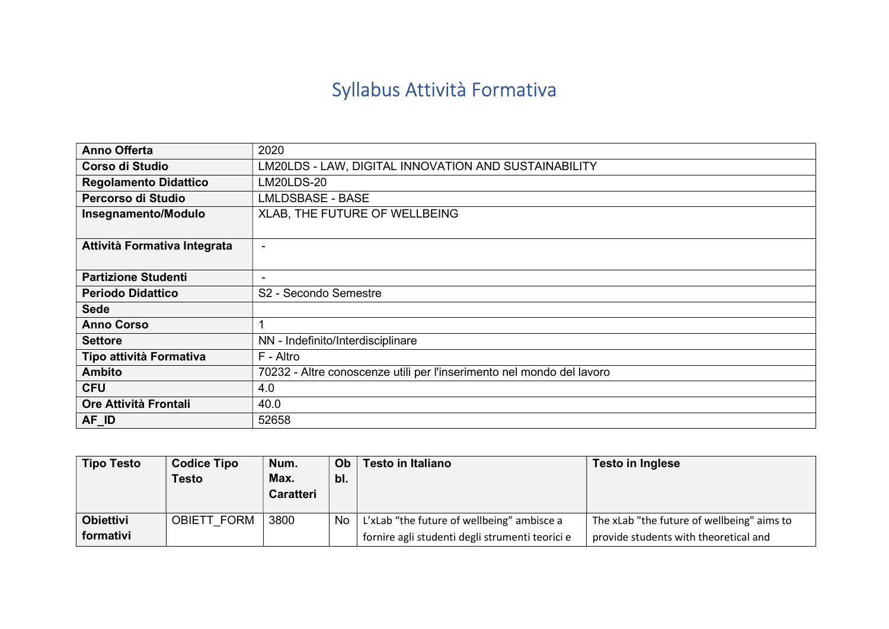## Syllabus Attività Formativa

| <b>Anno Offerta</b>          | 2020                                                                  |
|------------------------------|-----------------------------------------------------------------------|
| <b>Corso di Studio</b>       | LM20LDS - LAW, DIGITAL INNOVATION AND SUSTAINABILITY                  |
| <b>Regolamento Didattico</b> | LM20LDS-20                                                            |
| Percorso di Studio           | LMLDSBASE - BASE                                                      |
| Insegnamento/Modulo          | XLAB, THE FUTURE OF WELLBEING                                         |
|                              |                                                                       |
| Attività Formativa Integrata | $\blacksquare$                                                        |
|                              |                                                                       |
| <b>Partizione Studenti</b>   | -                                                                     |
| <b>Periodo Didattico</b>     | S2 - Secondo Semestre                                                 |
| <b>Sede</b>                  |                                                                       |
| <b>Anno Corso</b>            |                                                                       |
| <b>Settore</b>               | NN - Indefinito/Interdisciplinare                                     |
| Tipo attività Formativa      | F - Altro                                                             |
| <b>Ambito</b>                | 70232 - Altre conoscenze utili per l'inserimento nel mondo del lavoro |
| <b>CFU</b>                   | 4.0                                                                   |
| Ore Attività Frontali        | 40.0                                                                  |
| AF_ID                        | 52658                                                                 |

| <b>Tipo Testo</b> | <b>Codice Tipo</b><br><b>Testo</b> | Num.<br>Max.<br><b>Caratteri</b> | Ob<br>bl. | <b>Testo in Italiano</b>                        | <b>Testo in Inglese</b>                    |
|-------------------|------------------------------------|----------------------------------|-----------|-------------------------------------------------|--------------------------------------------|
| <b>Obiettivi</b>  | <b>OBIETT FORM</b>                 | 3800                             | No        | L'xLab "the future of wellbeing" ambisce a      | The xLab "the future of wellbeing" aims to |
| formativi         |                                    |                                  |           | fornire agli studenti degli strumenti teorici e | provide students with theoretical and      |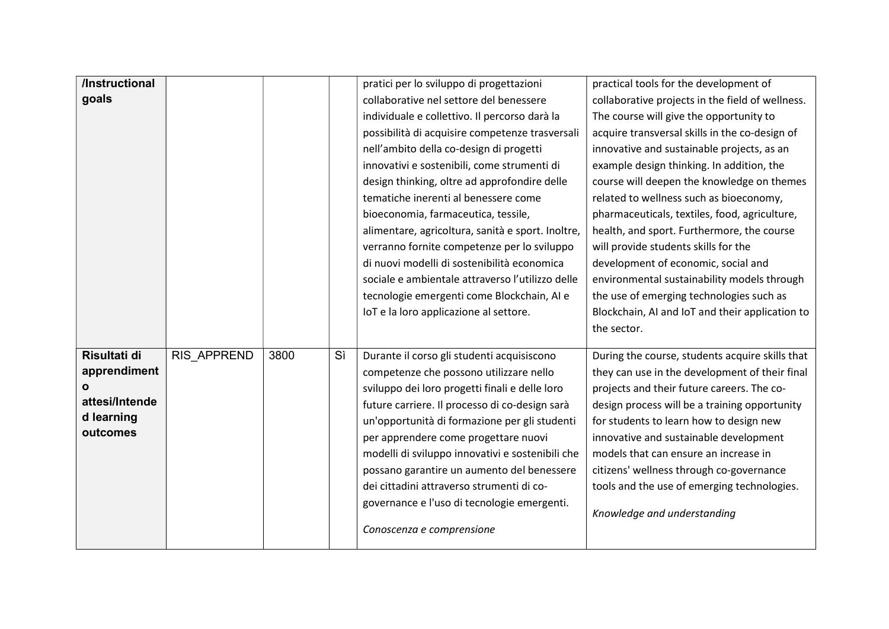| /Instructional<br>goals                                                  |             |      |    | pratici per lo sviluppo di progettazioni<br>collaborative nel settore del benessere<br>individuale e collettivo. Il percorso darà la<br>possibilità di acquisire competenze trasversali<br>nell'ambito della co-design di progetti<br>innovativi e sostenibili, come strumenti di<br>design thinking, oltre ad approfondire delle<br>tematiche inerenti al benessere come<br>bioeconomia, farmaceutica, tessile,<br>alimentare, agricoltura, sanità e sport. Inoltre,<br>verranno fornite competenze per lo sviluppo<br>di nuovi modelli di sostenibilità economica<br>sociale e ambientale attraverso l'utilizzo delle<br>tecnologie emergenti come Blockchain, AI e<br>IoT e la loro applicazione al settore. | practical tools for the development of<br>collaborative projects in the field of wellness.<br>The course will give the opportunity to<br>acquire transversal skills in the co-design of<br>innovative and sustainable projects, as an<br>example design thinking. In addition, the<br>course will deepen the knowledge on themes<br>related to wellness such as bioeconomy,<br>pharmaceuticals, textiles, food, agriculture,<br>health, and sport. Furthermore, the course<br>will provide students skills for the<br>development of economic, social and<br>environmental sustainability models through<br>the use of emerging technologies such as<br>Blockchain, AI and IoT and their application to<br>the sector. |
|--------------------------------------------------------------------------|-------------|------|----|-----------------------------------------------------------------------------------------------------------------------------------------------------------------------------------------------------------------------------------------------------------------------------------------------------------------------------------------------------------------------------------------------------------------------------------------------------------------------------------------------------------------------------------------------------------------------------------------------------------------------------------------------------------------------------------------------------------------|------------------------------------------------------------------------------------------------------------------------------------------------------------------------------------------------------------------------------------------------------------------------------------------------------------------------------------------------------------------------------------------------------------------------------------------------------------------------------------------------------------------------------------------------------------------------------------------------------------------------------------------------------------------------------------------------------------------------|
| Risultati di<br>apprendiment<br>attesi/Intende<br>d learning<br>outcomes | RIS APPREND | 3800 | Sì | Durante il corso gli studenti acquisiscono<br>competenze che possono utilizzare nello<br>sviluppo dei loro progetti finali e delle loro<br>future carriere. Il processo di co-design sarà<br>un'opportunità di formazione per gli studenti<br>per apprendere come progettare nuovi<br>modelli di sviluppo innovativi e sostenibili che<br>possano garantire un aumento del benessere<br>dei cittadini attraverso strumenti di co-<br>governance e l'uso di tecnologie emergenti.<br>Conoscenza e comprensione                                                                                                                                                                                                   | During the course, students acquire skills that<br>they can use in the development of their final<br>projects and their future careers. The co-<br>design process will be a training opportunity<br>for students to learn how to design new<br>innovative and sustainable development<br>models that can ensure an increase in<br>citizens' wellness through co-governance<br>tools and the use of emerging technologies.<br>Knowledge and understanding                                                                                                                                                                                                                                                               |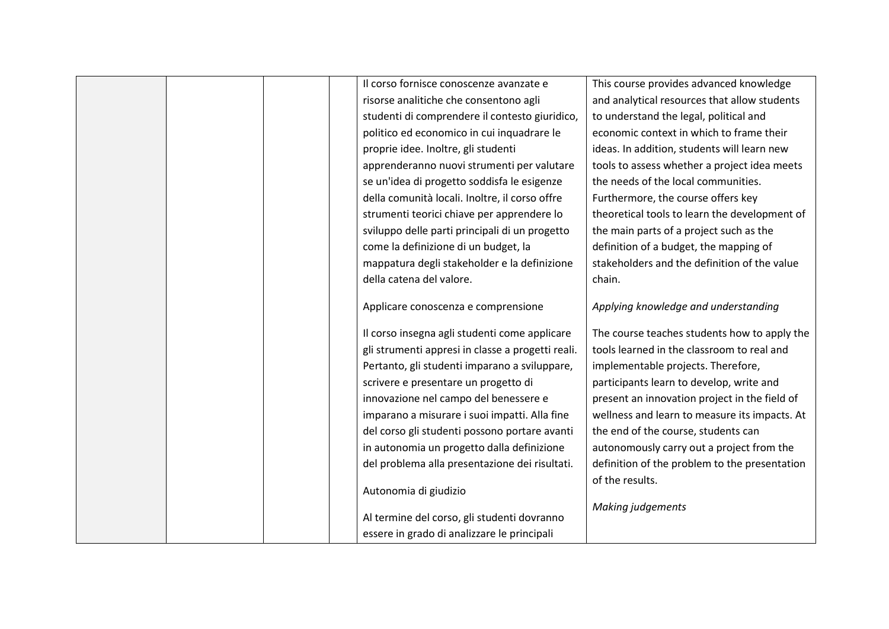|  | Il corso fornisce conoscenze avanzate e           | This course provides advanced knowledge       |
|--|---------------------------------------------------|-----------------------------------------------|
|  | risorse analitiche che consentono agli            | and analytical resources that allow students  |
|  | studenti di comprendere il contesto giuridico,    | to understand the legal, political and        |
|  | politico ed economico in cui inquadrare le        | economic context in which to frame their      |
|  | proprie idee. Inoltre, gli studenti               | ideas. In addition, students will learn new   |
|  | apprenderanno nuovi strumenti per valutare        | tools to assess whether a project idea meets  |
|  | se un'idea di progetto soddisfa le esigenze       | the needs of the local communities.           |
|  | della comunità locali. Inoltre, il corso offre    | Furthermore, the course offers key            |
|  | strumenti teorici chiave per apprendere lo        | theoretical tools to learn the development of |
|  | sviluppo delle parti principali di un progetto    | the main parts of a project such as the       |
|  | come la definizione di un budget, la              | definition of a budget, the mapping of        |
|  | mappatura degli stakeholder e la definizione      | stakeholders and the definition of the value  |
|  | della catena del valore.                          | chain.                                        |
|  | Applicare conoscenza e comprensione               | Applying knowledge and understanding          |
|  |                                                   |                                               |
|  | Il corso insegna agli studenti come applicare     | The course teaches students how to apply the  |
|  | gli strumenti appresi in classe a progetti reali. | tools learned in the classroom to real and    |
|  | Pertanto, gli studenti imparano a sviluppare,     | implementable projects. Therefore,            |
|  | scrivere e presentare un progetto di              | participants learn to develop, write and      |
|  | innovazione nel campo del benessere e             | present an innovation project in the field of |
|  | imparano a misurare i suoi impatti. Alla fine     | wellness and learn to measure its impacts. At |
|  | del corso gli studenti possono portare avanti     | the end of the course, students can           |
|  | in autonomia un progetto dalla definizione        | autonomously carry out a project from the     |
|  | del problema alla presentazione dei risultati.    | definition of the problem to the presentation |
|  | Autonomia di giudizio                             | of the results.                               |
|  |                                                   | <b>Making judgements</b>                      |
|  | Al termine del corso, gli studenti dovranno       |                                               |
|  | essere in grado di analizzare le principali       |                                               |
|  |                                                   |                                               |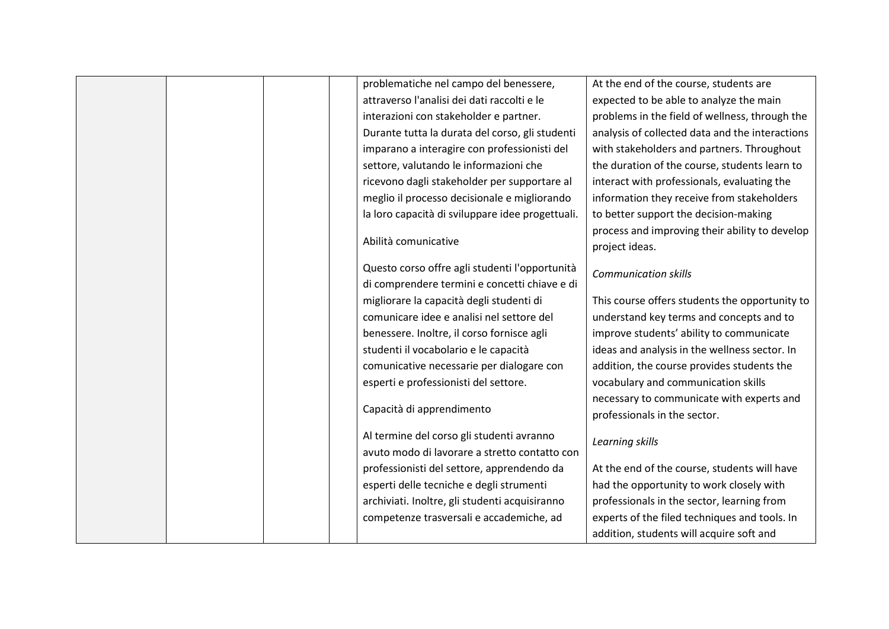|  | problematiche nel campo del benessere,           | At the end of the course, students are          |
|--|--------------------------------------------------|-------------------------------------------------|
|  | attraverso l'analisi dei dati raccolti e le      | expected to be able to analyze the main         |
|  | interazioni con stakeholder e partner.           | problems in the field of wellness, through the  |
|  | Durante tutta la durata del corso, gli studenti  | analysis of collected data and the interactions |
|  | imparano a interagire con professionisti del     | with stakeholders and partners. Throughout      |
|  | settore, valutando le informazioni che           | the duration of the course, students learn to   |
|  | ricevono dagli stakeholder per supportare al     | interact with professionals, evaluating the     |
|  | meglio il processo decisionale e migliorando     | information they receive from stakeholders      |
|  | la loro capacità di sviluppare idee progettuali. | to better support the decision-making           |
|  |                                                  | process and improving their ability to develop  |
|  | Abilità comunicative                             | project ideas.                                  |
|  | Questo corso offre agli studenti l'opportunità   |                                                 |
|  | di comprendere termini e concetti chiave e di    | <b>Communication skills</b>                     |
|  | migliorare la capacità degli studenti di         | This course offers students the opportunity to  |
|  | comunicare idee e analisi nel settore del        | understand key terms and concepts and to        |
|  | benessere. Inoltre, il corso fornisce agli       | improve students' ability to communicate        |
|  | studenti il vocabolario e le capacità            | ideas and analysis in the wellness sector. In   |
|  | comunicative necessarie per dialogare con        | addition, the course provides students the      |
|  | esperti e professionisti del settore.            | vocabulary and communication skills             |
|  |                                                  | necessary to communicate with experts and       |
|  | Capacità di apprendimento                        | professionals in the sector.                    |
|  |                                                  |                                                 |
|  | Al termine del corso gli studenti avranno        | Learning skills                                 |
|  | avuto modo di lavorare a stretto contatto con    |                                                 |
|  | professionisti del settore, apprendendo da       | At the end of the course, students will have    |
|  | esperti delle tecniche e degli strumenti         | had the opportunity to work closely with        |
|  | archiviati. Inoltre, gli studenti acquisiranno   | professionals in the sector, learning from      |
|  | competenze trasversali e accademiche, ad         | experts of the filed techniques and tools. In   |
|  |                                                  | addition, students will acquire soft and        |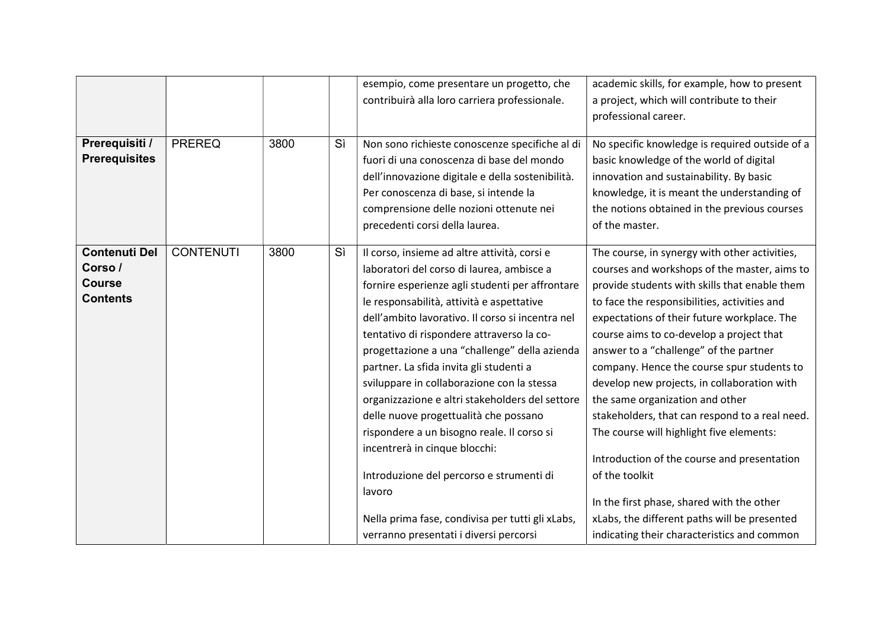|                      |                  |      |    | esempio, come presentare un progetto, che        | academic skills, for example, how to present   |
|----------------------|------------------|------|----|--------------------------------------------------|------------------------------------------------|
|                      |                  |      |    | contribuirà alla loro carriera professionale.    | a project, which will contribute to their      |
|                      |                  |      |    |                                                  | professional career.                           |
|                      |                  |      |    |                                                  |                                                |
| Prerequisiti /       | <b>PREREQ</b>    | 3800 | Sì | Non sono richieste conoscenze specifiche al di   | No specific knowledge is required outside of a |
| <b>Prerequisites</b> |                  |      |    | fuori di una conoscenza di base del mondo        | basic knowledge of the world of digital        |
|                      |                  |      |    | dell'innovazione digitale e della sostenibilità. | innovation and sustainability. By basic        |
|                      |                  |      |    | Per conoscenza di base, si intende la            | knowledge, it is meant the understanding of    |
|                      |                  |      |    | comprensione delle nozioni ottenute nei          | the notions obtained in the previous courses   |
|                      |                  |      |    | precedenti corsi della laurea.                   | of the master.                                 |
|                      |                  |      |    |                                                  |                                                |
| <b>Contenuti Del</b> | <b>CONTENUTI</b> | 3800 | Sì | Il corso, insieme ad altre attività, corsi e     | The course, in synergy with other activities,  |
| Corso /              |                  |      |    | laboratori del corso di laurea, ambisce a        | courses and workshops of the master, aims to   |
| <b>Course</b>        |                  |      |    | fornire esperienze agli studenti per affrontare  | provide students with skills that enable them  |
| <b>Contents</b>      |                  |      |    | le responsabilità, attività e aspettative        | to face the responsibilities, activities and   |
|                      |                  |      |    | dell'ambito lavorativo. Il corso si incentra nel | expectations of their future workplace. The    |
|                      |                  |      |    | tentativo di rispondere attraverso la co-        | course aims to co-develop a project that       |
|                      |                  |      |    | progettazione a una "challenge" della azienda    | answer to a "challenge" of the partner         |
|                      |                  |      |    | partner. La sfida invita gli studenti a          | company. Hence the course spur students to     |
|                      |                  |      |    | sviluppare in collaborazione con la stessa       | develop new projects, in collaboration with    |
|                      |                  |      |    | organizzazione e altri stakeholders del settore  | the same organization and other                |
|                      |                  |      |    | delle nuove progettualità che possano            | stakeholders, that can respond to a real need. |
|                      |                  |      |    | rispondere a un bisogno reale. Il corso si       | The course will highlight five elements:       |
|                      |                  |      |    | incentrerà in cinque blocchi:                    |                                                |
|                      |                  |      |    |                                                  | Introduction of the course and presentation    |
|                      |                  |      |    | Introduzione del percorso e strumenti di         | of the toolkit                                 |
|                      |                  |      |    | lavoro                                           |                                                |
|                      |                  |      |    |                                                  | In the first phase, shared with the other      |
|                      |                  |      |    | Nella prima fase, condivisa per tutti gli xLabs, | xLabs, the different paths will be presented   |
|                      |                  |      |    | verranno presentati i diversi percorsi           | indicating their characteristics and common    |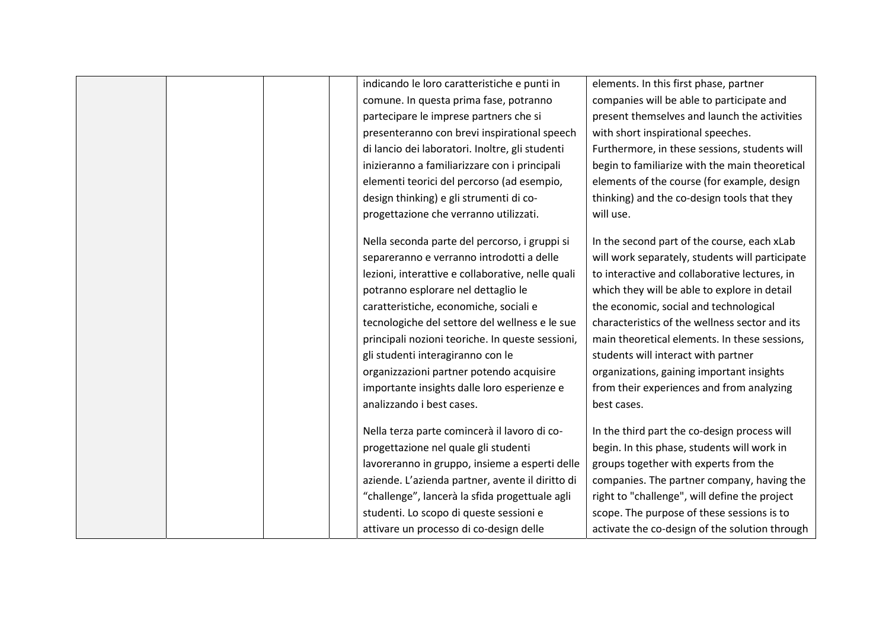|  | indicando le loro caratteristiche e punti in      | elements. In this first phase, partner          |
|--|---------------------------------------------------|-------------------------------------------------|
|  | comune. In questa prima fase, potranno            | companies will be able to participate and       |
|  | partecipare le imprese partners che si            | present themselves and launch the activities    |
|  | presenteranno con brevi inspirational speech      | with short inspirational speeches.              |
|  | di lancio dei laboratori. Inoltre, gli studenti   | Furthermore, in these sessions, students will   |
|  | inizieranno a familiarizzare con i principali     | begin to familiarize with the main theoretical  |
|  | elementi teorici del percorso (ad esempio,        | elements of the course (for example, design     |
|  | design thinking) e gli strumenti di co-           | thinking) and the co-design tools that they     |
|  | progettazione che verranno utilizzati.            | will use.                                       |
|  |                                                   |                                                 |
|  | Nella seconda parte del percorso, i gruppi si     | In the second part of the course, each xLab     |
|  | separeranno e verranno introdotti a delle         | will work separately, students will participate |
|  | lezioni, interattive e collaborative, nelle quali | to interactive and collaborative lectures, in   |
|  | potranno esplorare nel dettaglio le               | which they will be able to explore in detail    |
|  | caratteristiche, economiche, sociali e            | the economic, social and technological          |
|  | tecnologiche del settore del wellness e le sue    | characteristics of the wellness sector and its  |
|  | principali nozioni teoriche. In queste sessioni,  | main theoretical elements. In these sessions,   |
|  | gli studenti interagiranno con le                 | students will interact with partner             |
|  | organizzazioni partner potendo acquisire          | organizations, gaining important insights       |
|  | importante insights dalle loro esperienze e       | from their experiences and from analyzing       |
|  | analizzando i best cases.                         | best cases.                                     |
|  |                                                   |                                                 |
|  | Nella terza parte comincerà il lavoro di co-      | In the third part the co-design process will    |
|  | progettazione nel quale gli studenti              | begin. In this phase, students will work in     |
|  | lavoreranno in gruppo, insieme a esperti delle    | groups together with experts from the           |
|  | aziende. L'azienda partner, avente il diritto di  | companies. The partner company, having the      |
|  | "challenge", lancerà la sfida progettuale agli    | right to "challenge", will define the project   |
|  | studenti. Lo scopo di queste sessioni e           | scope. The purpose of these sessions is to      |
|  | attivare un processo di co-design delle           | activate the co-design of the solution through  |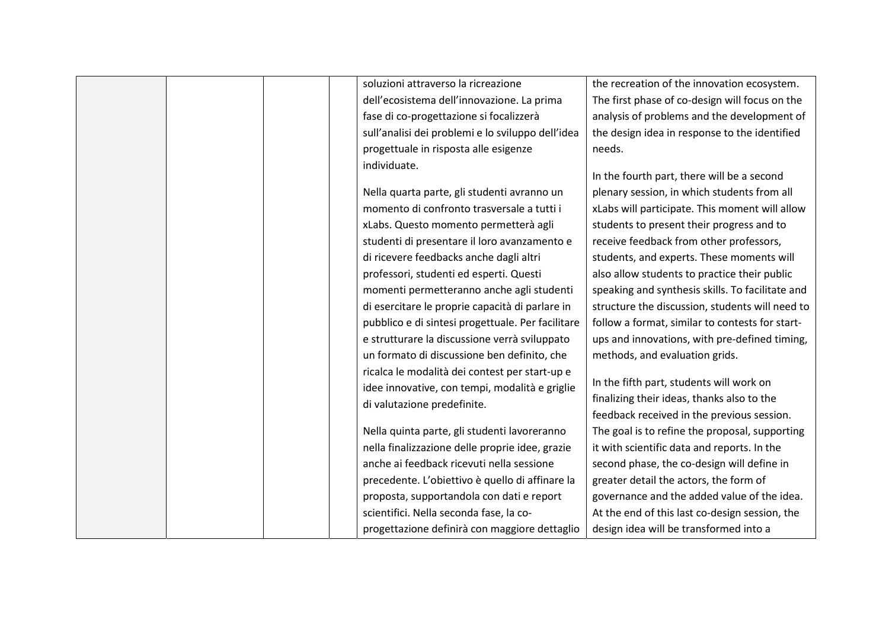| soluzioni attraverso la ricreazione               | the recreation of the innovation ecosystem.      |
|---------------------------------------------------|--------------------------------------------------|
| dell'ecosistema dell'innovazione. La prima        | The first phase of co-design will focus on the   |
| fase di co-progettazione si focalizzerà           | analysis of problems and the development of      |
| sull'analisi dei problemi e lo sviluppo dell'idea | the design idea in response to the identified    |
| progettuale in risposta alle esigenze             | needs.                                           |
| individuate.                                      |                                                  |
|                                                   | In the fourth part, there will be a second       |
| Nella quarta parte, gli studenti avranno un       | plenary session, in which students from all      |
| momento di confronto trasversale a tutti i        | xLabs will participate. This moment will allow   |
| xLabs. Questo momento permetterà agli             | students to present their progress and to        |
| studenti di presentare il loro avanzamento e      | receive feedback from other professors,          |
| di ricevere feedbacks anche dagli altri           | students, and experts. These moments will        |
| professori, studenti ed esperti. Questi           | also allow students to practice their public     |
| momenti permetteranno anche agli studenti         | speaking and synthesis skills. To facilitate and |
| di esercitare le proprie capacità di parlare in   | structure the discussion, students will need to  |
| pubblico e di sintesi progettuale. Per facilitare | follow a format, similar to contests for start-  |
| e strutturare la discussione verrà sviluppato     | ups and innovations, with pre-defined timing,    |
| un formato di discussione ben definito, che       | methods, and evaluation grids.                   |
| ricalca le modalità dei contest per start-up e    |                                                  |
| idee innovative, con tempi, modalità e griglie    | In the fifth part, students will work on         |
| di valutazione predefinite.                       | finalizing their ideas, thanks also to the       |
|                                                   | feedback received in the previous session.       |
| Nella quinta parte, gli studenti lavoreranno      | The goal is to refine the proposal, supporting   |
| nella finalizzazione delle proprie idee, grazie   | it with scientific data and reports. In the      |
| anche ai feedback ricevuti nella sessione         | second phase, the co-design will define in       |
| precedente. L'obiettivo è quello di affinare la   | greater detail the actors, the form of           |
| proposta, supportandola con dati e report         | governance and the added value of the idea.      |
| scientifici. Nella seconda fase, la co-           | At the end of this last co-design session, the   |
| progettazione definirà con maggiore dettaglio     | design idea will be transformed into a           |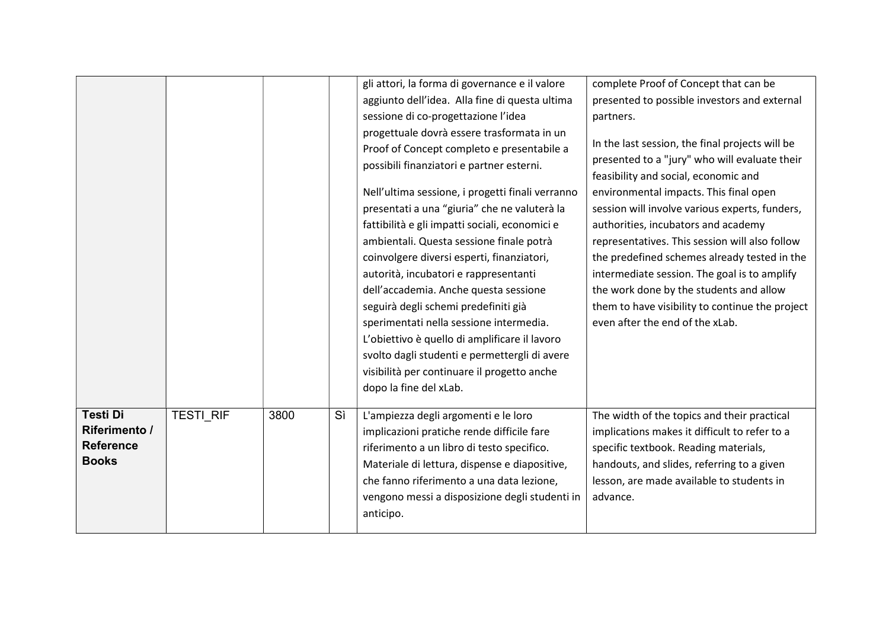|                                                                             |                  |      |    | gli attori, la forma di governance e il valore<br>aggiunto dell'idea. Alla fine di questa ultima<br>sessione di co-progettazione l'idea<br>progettuale dovrà essere trasformata in un<br>Proof of Concept completo e presentabile a<br>possibili finanziatori e partner esterni.<br>Nell'ultima sessione, i progetti finali verranno<br>presentati a una "giuria" che ne valuterà la<br>fattibilità e gli impatti sociali, economici e<br>ambientali. Questa sessione finale potrà<br>coinvolgere diversi esperti, finanziatori,<br>autorità, incubatori e rappresentanti<br>dell'accademia. Anche questa sessione<br>seguirà degli schemi predefiniti già<br>sperimentati nella sessione intermedia.<br>L'obiettivo è quello di amplificare il lavoro<br>svolto dagli studenti e permettergli di avere<br>visibilità per continuare il progetto anche<br>dopo la fine del xLab. | complete Proof of Concept that can be<br>presented to possible investors and external<br>partners.<br>In the last session, the final projects will be<br>presented to a "jury" who will evaluate their<br>feasibility and social, economic and<br>environmental impacts. This final open<br>session will involve various experts, funders,<br>authorities, incubators and academy<br>representatives. This session will also follow<br>the predefined schemes already tested in the<br>intermediate session. The goal is to amplify<br>the work done by the students and allow<br>them to have visibility to continue the project<br>even after the end of the xLab. |
|-----------------------------------------------------------------------------|------------------|------|----|----------------------------------------------------------------------------------------------------------------------------------------------------------------------------------------------------------------------------------------------------------------------------------------------------------------------------------------------------------------------------------------------------------------------------------------------------------------------------------------------------------------------------------------------------------------------------------------------------------------------------------------------------------------------------------------------------------------------------------------------------------------------------------------------------------------------------------------------------------------------------------|----------------------------------------------------------------------------------------------------------------------------------------------------------------------------------------------------------------------------------------------------------------------------------------------------------------------------------------------------------------------------------------------------------------------------------------------------------------------------------------------------------------------------------------------------------------------------------------------------------------------------------------------------------------------|
| <b>Testi Di</b><br><b>Riferimento /</b><br><b>Reference</b><br><b>Books</b> | <b>TESTI RIF</b> | 3800 | Sì | L'ampiezza degli argomenti e le loro<br>implicazioni pratiche rende difficile fare<br>riferimento a un libro di testo specifico.<br>Materiale di lettura, dispense e diapositive,<br>che fanno riferimento a una data lezione,<br>vengono messi a disposizione degli studenti in<br>anticipo.                                                                                                                                                                                                                                                                                                                                                                                                                                                                                                                                                                                    | The width of the topics and their practical<br>implications makes it difficult to refer to a<br>specific textbook. Reading materials,<br>handouts, and slides, referring to a given<br>lesson, are made available to students in<br>advance.                                                                                                                                                                                                                                                                                                                                                                                                                         |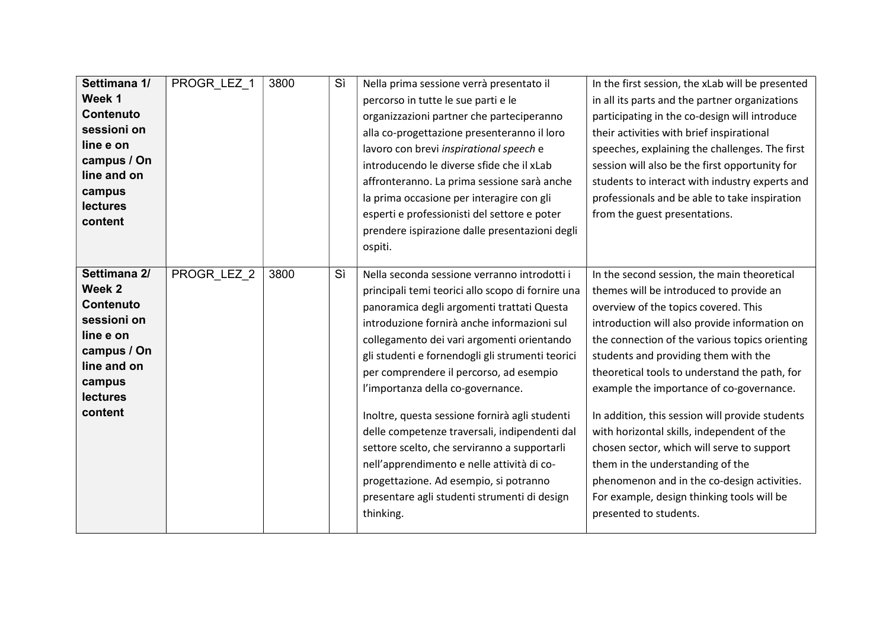| Settimana 1/     | PROGR LEZ 1 | 3800 | Sì | Nella prima sessione verrà presentato il          | In the first session, the xLab will be presented |
|------------------|-------------|------|----|---------------------------------------------------|--------------------------------------------------|
| Week 1           |             |      |    | percorso in tutte le sue parti e le               | in all its parts and the partner organizations   |
| <b>Contenuto</b> |             |      |    | organizzazioni partner che parteciperanno         | participating in the co-design will introduce    |
| sessioni on      |             |      |    | alla co-progettazione presenteranno il loro       | their activities with brief inspirational        |
| line e on        |             |      |    | lavoro con brevi inspirational speech e           | speeches, explaining the challenges. The first   |
| campus / On      |             |      |    | introducendo le diverse sfide che il xLab         | session will also be the first opportunity for   |
| line and on      |             |      |    | affronteranno. La prima sessione sarà anche       | students to interact with industry experts and   |
| campus           |             |      |    | la prima occasione per interagire con gli         | professionals and be able to take inspiration    |
| <b>lectures</b>  |             |      |    | esperti e professionisti del settore e poter      | from the guest presentations.                    |
| content          |             |      |    | prendere ispirazione dalle presentazioni degli    |                                                  |
|                  |             |      |    | ospiti.                                           |                                                  |
|                  |             |      |    |                                                   |                                                  |
| Settimana 2/     | PROGR LEZ 2 | 3800 | Sì | Nella seconda sessione verranno introdotti i      | In the second session, the main theoretical      |
| Week 2           |             |      |    | principali temi teorici allo scopo di fornire una | themes will be introduced to provide an          |
| <b>Contenuto</b> |             |      |    | panoramica degli argomenti trattati Questa        | overview of the topics covered. This             |
| sessioni on      |             |      |    | introduzione fornirà anche informazioni sul       | introduction will also provide information on    |
| line e on        |             |      |    | collegamento dei vari argomenti orientando        | the connection of the various topics orienting   |
| campus / On      |             |      |    | gli studenti e fornendogli gli strumenti teorici  | students and providing them with the             |
| line and on      |             |      |    | per comprendere il percorso, ad esempio           | theoretical tools to understand the path, for    |
| campus           |             |      |    | l'importanza della co-governance.                 | example the importance of co-governance.         |
| <b>lectures</b>  |             |      |    |                                                   |                                                  |
| content          |             |      |    | Inoltre, questa sessione fornirà agli studenti    | In addition, this session will provide students  |
|                  |             |      |    | delle competenze traversali, indipendenti dal     | with horizontal skills, independent of the       |
|                  |             |      |    | settore scelto, che serviranno a supportarli      | chosen sector, which will serve to support       |
|                  |             |      |    | nell'apprendimento e nelle attività di co-        | them in the understanding of the                 |
|                  |             |      |    | progettazione. Ad esempio, si potranno            | phenomenon and in the co-design activities.      |
|                  |             |      |    | presentare agli studenti strumenti di design      | For example, design thinking tools will be       |
|                  |             |      |    | thinking.                                         | presented to students.                           |
|                  |             |      |    |                                                   |                                                  |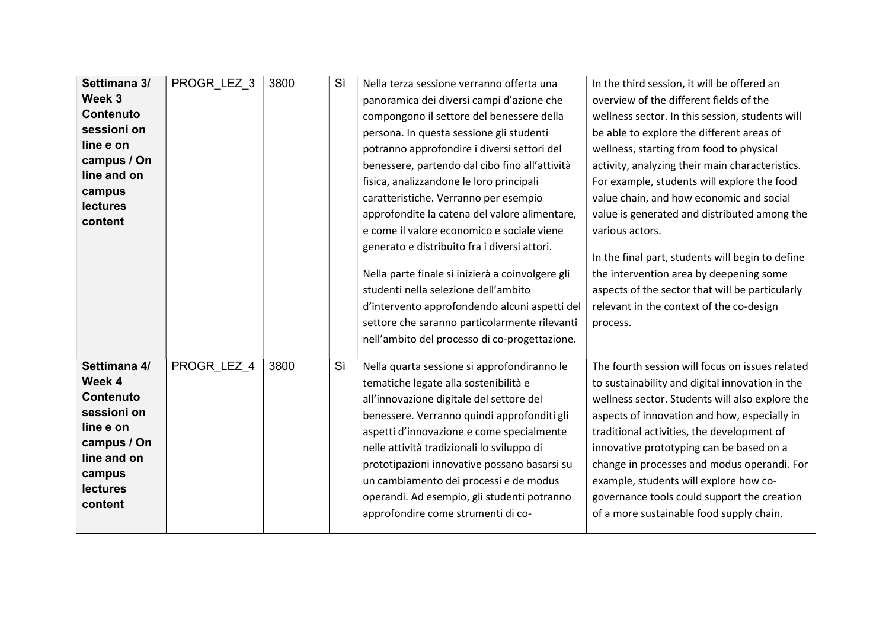| Settimana 3/     | PROGR LEZ 3 | 3800 | Sì | Nella terza sessione verranno offerta una        | In the third session, it will be offered an      |
|------------------|-------------|------|----|--------------------------------------------------|--------------------------------------------------|
| Week 3           |             |      |    | panoramica dei diversi campi d'azione che        | overview of the different fields of the          |
| <b>Contenuto</b> |             |      |    | compongono il settore del benessere della        | wellness sector. In this session, students will  |
| sessioni on      |             |      |    | persona. In questa sessione gli studenti         | be able to explore the different areas of        |
| line e on        |             |      |    | potranno approfondire i diversi settori del      | wellness, starting from food to physical         |
| campus / On      |             |      |    | benessere, partendo dal cibo fino all'attività   | activity, analyzing their main characteristics.  |
| line and on      |             |      |    | fisica, analizzandone le loro principali         | For example, students will explore the food      |
| campus           |             |      |    | caratteristiche. Verranno per esempio            | value chain, and how economic and social         |
| <b>lectures</b>  |             |      |    | approfondite la catena del valore alimentare,    | value is generated and distributed among the     |
| content          |             |      |    | e come il valore economico e sociale viene       | various actors.                                  |
|                  |             |      |    | generato e distribuito fra i diversi attori.     |                                                  |
|                  |             |      |    |                                                  | In the final part, students will begin to define |
|                  |             |      |    | Nella parte finale si inizierà a coinvolgere gli | the intervention area by deepening some          |
|                  |             |      |    | studenti nella selezione dell'ambito             | aspects of the sector that will be particularly  |
|                  |             |      |    | d'intervento approfondendo alcuni aspetti del    | relevant in the context of the co-design         |
|                  |             |      |    | settore che saranno particolarmente rilevanti    | process.                                         |
|                  |             |      |    | nell'ambito del processo di co-progettazione.    |                                                  |
| Settimana 4/     | PROGR LEZ 4 | 3800 | Sì | Nella quarta sessione si approfondiranno le      | The fourth session will focus on issues related  |
| Week 4           |             |      |    | tematiche legate alla sostenibilità e            | to sustainability and digital innovation in the  |
| <b>Contenuto</b> |             |      |    | all'innovazione digitale del settore del         | wellness sector. Students will also explore the  |
| sessioni on      |             |      |    | benessere. Verranno quindi approfonditi gli      | aspects of innovation and how, especially in     |
| line e on        |             |      |    | aspetti d'innovazione e come specialmente        | traditional activities, the development of       |
| campus / On      |             |      |    | nelle attività tradizionali lo sviluppo di       | innovative prototyping can be based on a         |
| line and on      |             |      |    | prototipazioni innovative possano basarsi su     | change in processes and modus operandi. For      |
| campus           |             |      |    | un cambiamento dei processi e de modus           | example, students will explore how co-           |
| <b>lectures</b>  |             |      |    | operandi. Ad esempio, gli studenti potranno      | governance tools could support the creation      |
| content          |             |      |    | approfondire come strumenti di co-               | of a more sustainable food supply chain.         |
|                  |             |      |    |                                                  |                                                  |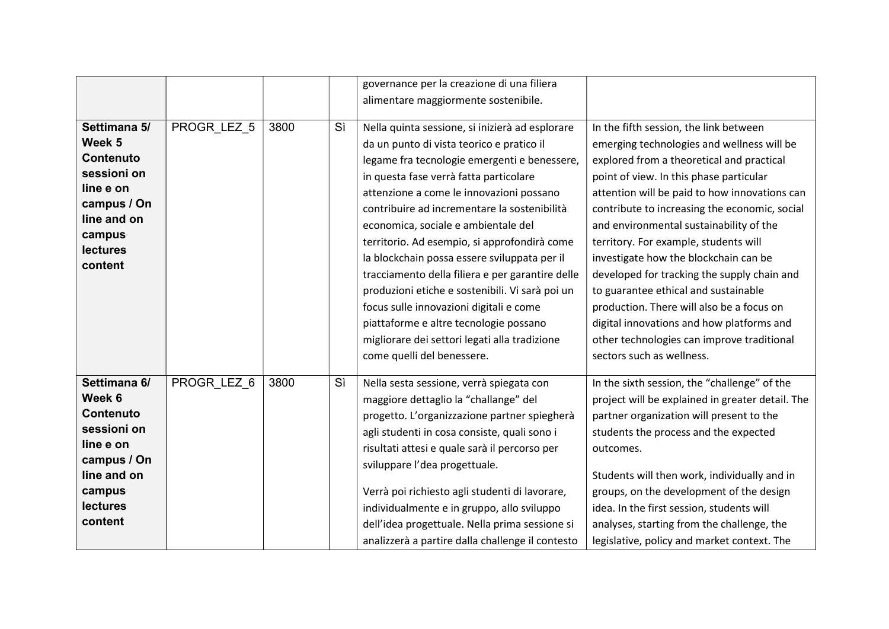|                           |             |      |    | governance per la creazione di una filiera       |                                                  |
|---------------------------|-------------|------|----|--------------------------------------------------|--------------------------------------------------|
|                           |             |      |    | alimentare maggiormente sostenibile.             |                                                  |
|                           |             |      |    |                                                  |                                                  |
| Settimana 5/              | PROGR_LEZ_5 | 3800 | Sì | Nella quinta sessione, si inizierà ad esplorare  | In the fifth session, the link between           |
| Week 5                    |             |      |    | da un punto di vista teorico e pratico il        | emerging technologies and wellness will be       |
| <b>Contenuto</b>          |             |      |    | legame fra tecnologie emergenti e benessere,     | explored from a theoretical and practical        |
| sessioni on               |             |      |    | in questa fase verrà fatta particolare           | point of view. In this phase particular          |
| line e on                 |             |      |    | attenzione a come le innovazioni possano         | attention will be paid to how innovations can    |
| campus / On               |             |      |    | contribuire ad incrementare la sostenibilità     | contribute to increasing the economic, social    |
| line and on               |             |      |    | economica, sociale e ambientale del              | and environmental sustainability of the          |
| campus<br><b>lectures</b> |             |      |    | territorio. Ad esempio, si approfondirà come     | territory. For example, students will            |
| content                   |             |      |    | la blockchain possa essere sviluppata per il     | investigate how the blockchain can be            |
|                           |             |      |    | tracciamento della filiera e per garantire delle | developed for tracking the supply chain and      |
|                           |             |      |    | produzioni etiche e sostenibili. Vi sarà poi un  | to guarantee ethical and sustainable             |
|                           |             |      |    | focus sulle innovazioni digitali e come          | production. There will also be a focus on        |
|                           |             |      |    | piattaforme e altre tecnologie possano           | digital innovations and how platforms and        |
|                           |             |      |    | migliorare dei settori legati alla tradizione    | other technologies can improve traditional       |
|                           |             |      |    | come quelli del benessere.                       | sectors such as wellness.                        |
|                           |             |      |    |                                                  |                                                  |
| Settimana 6/              | PROGR LEZ 6 | 3800 | Sì | Nella sesta sessione, verrà spiegata con         | In the sixth session, the "challenge" of the     |
| Week 6                    |             |      |    | maggiore dettaglio la "challange" del            | project will be explained in greater detail. The |
| <b>Contenuto</b>          |             |      |    | progetto. L'organizzazione partner spiegherà     | partner organization will present to the         |
| sessioni on               |             |      |    | agli studenti in cosa consiste, quali sono i     | students the process and the expected            |
| line e on<br>campus / On  |             |      |    | risultati attesi e quale sarà il percorso per    | outcomes.                                        |
| line and on               |             |      |    | sviluppare l'dea progettuale.                    | Students will then work, individually and in     |
| campus                    |             |      |    | Verrà poi richiesto agli studenti di lavorare,   | groups, on the development of the design         |
| <b>lectures</b>           |             |      |    |                                                  | idea. In the first session, students will        |
| content                   |             |      |    | individualmente e in gruppo, allo sviluppo       |                                                  |
|                           |             |      |    | dell'idea progettuale. Nella prima sessione si   | analyses, starting from the challenge, the       |
|                           |             |      |    | analizzerà a partire dalla challenge il contesto | legislative, policy and market context. The      |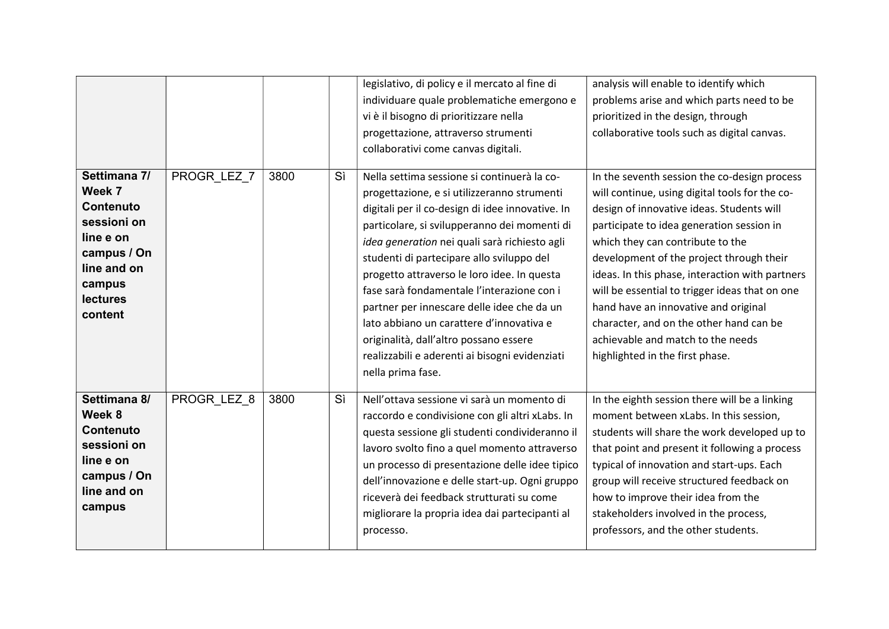|                                                                                                                                              |             |      |    | legislativo, di policy e il mercato al fine di<br>individuare quale problematiche emergono e<br>vi è il bisogno di prioritizzare nella<br>progettazione, attraverso strumenti<br>collaborativi come canvas digitali.                                                                                                                                                                                                                                                                                                                                                                                 | analysis will enable to identify which<br>problems arise and which parts need to be<br>prioritized in the design, through<br>collaborative tools such as digital canvas.                                                                                                                                                                                                                                                                                                                                                                 |
|----------------------------------------------------------------------------------------------------------------------------------------------|-------------|------|----|------------------------------------------------------------------------------------------------------------------------------------------------------------------------------------------------------------------------------------------------------------------------------------------------------------------------------------------------------------------------------------------------------------------------------------------------------------------------------------------------------------------------------------------------------------------------------------------------------|------------------------------------------------------------------------------------------------------------------------------------------------------------------------------------------------------------------------------------------------------------------------------------------------------------------------------------------------------------------------------------------------------------------------------------------------------------------------------------------------------------------------------------------|
| Settimana 7/<br>Week 7<br><b>Contenuto</b><br>sessioni on<br>line e on<br>campus / On<br>line and on<br>campus<br><b>lectures</b><br>content | PROGR LEZ 7 | 3800 | Sì | Nella settima sessione si continuerà la co-<br>progettazione, e si utilizzeranno strumenti<br>digitali per il co-design di idee innovative. In<br>particolare, si svilupperanno dei momenti di<br>idea generation nei quali sarà richiesto agli<br>studenti di partecipare allo sviluppo del<br>progetto attraverso le loro idee. In questa<br>fase sarà fondamentale l'interazione con i<br>partner per innescare delle idee che da un<br>lato abbiano un carattere d'innovativa e<br>originalità, dall'altro possano essere<br>realizzabili e aderenti ai bisogni evidenziati<br>nella prima fase. | In the seventh session the co-design process<br>will continue, using digital tools for the co-<br>design of innovative ideas. Students will<br>participate to idea generation session in<br>which they can contribute to the<br>development of the project through their<br>ideas. In this phase, interaction with partners<br>will be essential to trigger ideas that on one<br>hand have an innovative and original<br>character, and on the other hand can be<br>achievable and match to the needs<br>highlighted in the first phase. |
| Settimana 8/<br>Week 8<br><b>Contenuto</b><br>sessioni on<br>line e on<br>campus / On<br>line and on<br>campus                               | PROGR LEZ 8 | 3800 | Sì | Nell'ottava sessione vi sarà un momento di<br>raccordo e condivisione con gli altri xLabs. In<br>questa sessione gli studenti condivideranno il<br>lavoro svolto fino a quel momento attraverso<br>un processo di presentazione delle idee tipico<br>dell'innovazione e delle start-up. Ogni gruppo<br>riceverà dei feedback strutturati su come<br>migliorare la propria idea dai partecipanti al<br>processo.                                                                                                                                                                                      | In the eighth session there will be a linking<br>moment between xLabs. In this session,<br>students will share the work developed up to<br>that point and present it following a process<br>typical of innovation and start-ups. Each<br>group will receive structured feedback on<br>how to improve their idea from the<br>stakeholders involved in the process,<br>professors, and the other students.                                                                                                                                 |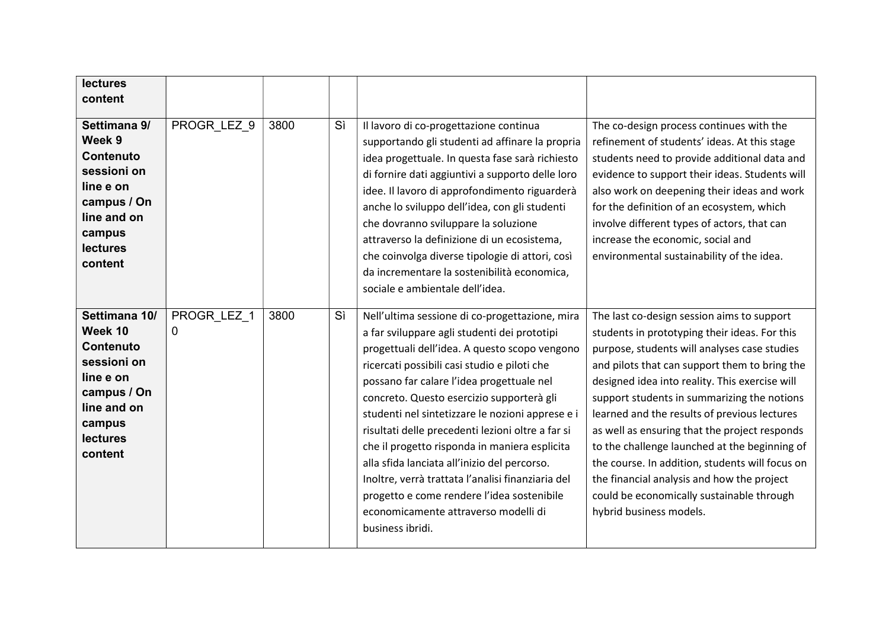| <b>lectures</b><br>content                                                                                                                     |                  |      |    |                                                                                                                                                                                                                                                                                                                                                                                                                                                                                                                                                                                                                                                                    |                                                                                                                                                                                                                                                                                                                                                                                                                                                                                                                                                                                                                          |
|------------------------------------------------------------------------------------------------------------------------------------------------|------------------|------|----|--------------------------------------------------------------------------------------------------------------------------------------------------------------------------------------------------------------------------------------------------------------------------------------------------------------------------------------------------------------------------------------------------------------------------------------------------------------------------------------------------------------------------------------------------------------------------------------------------------------------------------------------------------------------|--------------------------------------------------------------------------------------------------------------------------------------------------------------------------------------------------------------------------------------------------------------------------------------------------------------------------------------------------------------------------------------------------------------------------------------------------------------------------------------------------------------------------------------------------------------------------------------------------------------------------|
| Settimana 9/<br>Week 9<br><b>Contenuto</b><br>sessioni on<br>line e on<br>campus / On<br>line and on<br>campus<br><b>lectures</b><br>content   | PROGR_LEZ_9      | 3800 | Sì | Il lavoro di co-progettazione continua<br>supportando gli studenti ad affinare la propria<br>idea progettuale. In questa fase sarà richiesto<br>di fornire dati aggiuntivi a supporto delle loro<br>idee. Il lavoro di approfondimento riguarderà<br>anche lo sviluppo dell'idea, con gli studenti<br>che dovranno sviluppare la soluzione<br>attraverso la definizione di un ecosistema,<br>che coinvolga diverse tipologie di attori, così<br>da incrementare la sostenibilità economica,<br>sociale e ambientale dell'idea.                                                                                                                                     | The co-design process continues with the<br>refinement of students' ideas. At this stage<br>students need to provide additional data and<br>evidence to support their ideas. Students will<br>also work on deepening their ideas and work<br>for the definition of an ecosystem, which<br>involve different types of actors, that can<br>increase the economic, social and<br>environmental sustainability of the idea.                                                                                                                                                                                                  |
| Settimana 10/<br>Week 10<br><b>Contenuto</b><br>sessioni on<br>line e on<br>campus / On<br>line and on<br>campus<br><b>lectures</b><br>content | PROGR LEZ 1<br>0 | 3800 | Sì | Nell'ultima sessione di co-progettazione, mira<br>a far sviluppare agli studenti dei prototipi<br>progettuali dell'idea. A questo scopo vengono<br>ricercati possibili casi studio e piloti che<br>possano far calare l'idea progettuale nel<br>concreto. Questo esercizio supporterà gli<br>studenti nel sintetizzare le nozioni apprese e i<br>risultati delle precedenti lezioni oltre a far si<br>che il progetto risponda in maniera esplicita<br>alla sfida lanciata all'inizio del percorso.<br>Inoltre, verrà trattata l'analisi finanziaria del<br>progetto e come rendere l'idea sostenibile<br>economicamente attraverso modelli di<br>business ibridi. | The last co-design session aims to support<br>students in prototyping their ideas. For this<br>purpose, students will analyses case studies<br>and pilots that can support them to bring the<br>designed idea into reality. This exercise will<br>support students in summarizing the notions<br>learned and the results of previous lectures<br>as well as ensuring that the project responds<br>to the challenge launched at the beginning of<br>the course. In addition, students will focus on<br>the financial analysis and how the project<br>could be economically sustainable through<br>hybrid business models. |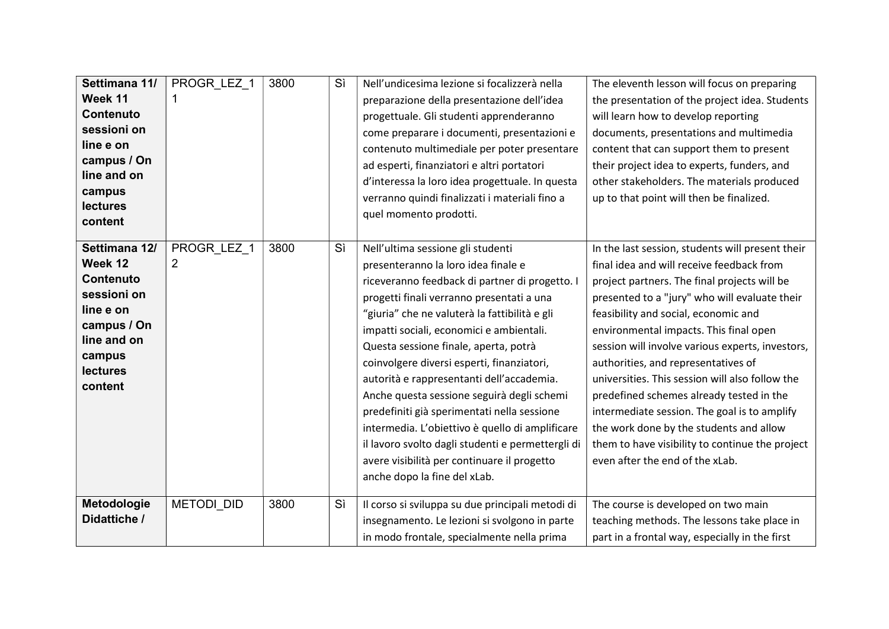| Settimana 11/<br>Week 11<br>Contenuto<br>sessioni on<br>line e on<br>campus / On<br>line and on<br>campus<br><b>lectures</b><br>content        | PROGR_LEZ_1<br>$\mathbf 1$    | 3800 | Sì | Nell'undicesima lezione si focalizzerà nella<br>preparazione della presentazione dell'idea<br>progettuale. Gli studenti apprenderanno<br>come preparare i documenti, presentazioni e<br>contenuto multimediale per poter presentare<br>ad esperti, finanziatori e altri portatori<br>d'interessa la loro idea progettuale. In questa<br>verranno quindi finalizzati i materiali fino a<br>quel momento prodotti.                                                                                                                                                                                                                                                                             | The eleventh lesson will focus on preparing<br>the presentation of the project idea. Students<br>will learn how to develop reporting<br>documents, presentations and multimedia<br>content that can support them to present<br>their project idea to experts, funders, and<br>other stakeholders. The materials produced<br>up to that point will then be finalized.                                                                                                                                                                                                                                                                                        |
|------------------------------------------------------------------------------------------------------------------------------------------------|-------------------------------|------|----|----------------------------------------------------------------------------------------------------------------------------------------------------------------------------------------------------------------------------------------------------------------------------------------------------------------------------------------------------------------------------------------------------------------------------------------------------------------------------------------------------------------------------------------------------------------------------------------------------------------------------------------------------------------------------------------------|-------------------------------------------------------------------------------------------------------------------------------------------------------------------------------------------------------------------------------------------------------------------------------------------------------------------------------------------------------------------------------------------------------------------------------------------------------------------------------------------------------------------------------------------------------------------------------------------------------------------------------------------------------------|
| Settimana 12/<br>Week 12<br><b>Contenuto</b><br>sessioni on<br>line e on<br>campus / On<br>line and on<br>campus<br><b>lectures</b><br>content | PROGR LEZ 1<br>$\overline{2}$ | 3800 | Sì | Nell'ultima sessione gli studenti<br>presenteranno la loro idea finale e<br>riceveranno feedback di partner di progetto. I<br>progetti finali verranno presentati a una<br>"giuria" che ne valuterà la fattibilità e gli<br>impatti sociali, economici e ambientali.<br>Questa sessione finale, aperta, potrà<br>coinvolgere diversi esperti, finanziatori,<br>autorità e rappresentanti dell'accademia.<br>Anche questa sessione seguirà degli schemi<br>predefiniti già sperimentati nella sessione<br>intermedia. L'obiettivo è quello di amplificare<br>il lavoro svolto dagli studenti e permettergli di<br>avere visibilità per continuare il progetto<br>anche dopo la fine del xLab. | In the last session, students will present their<br>final idea and will receive feedback from<br>project partners. The final projects will be<br>presented to a "jury" who will evaluate their<br>feasibility and social, economic and<br>environmental impacts. This final open<br>session will involve various experts, investors,<br>authorities, and representatives of<br>universities. This session will also follow the<br>predefined schemes already tested in the<br>intermediate session. The goal is to amplify<br>the work done by the students and allow<br>them to have visibility to continue the project<br>even after the end of the xLab. |
| Metodologie<br>Didattiche /                                                                                                                    | <b>METODI DID</b>             | 3800 | Sì | Il corso si sviluppa su due principali metodi di<br>insegnamento. Le lezioni si svolgono in parte<br>in modo frontale, specialmente nella prima                                                                                                                                                                                                                                                                                                                                                                                                                                                                                                                                              | The course is developed on two main<br>teaching methods. The lessons take place in<br>part in a frontal way, especially in the first                                                                                                                                                                                                                                                                                                                                                                                                                                                                                                                        |